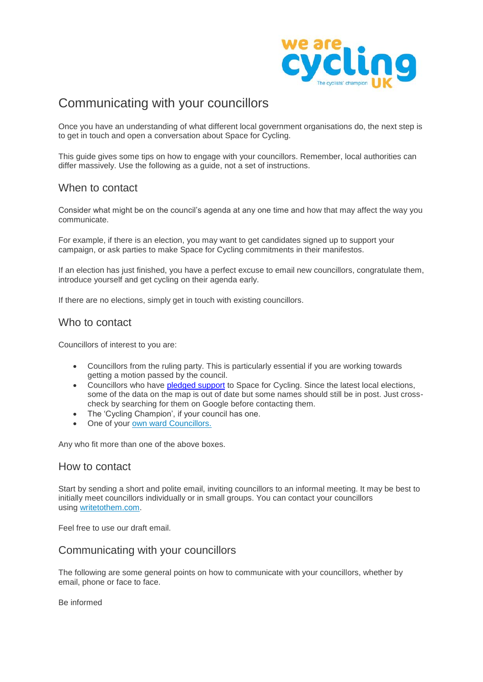

# Communicating with your councillors

Once you have an understanding of what different local government organisations do, the next step is to get in touch and open a conversation about Space for Cycling.

This guide gives some tips on how to engage with your councillors. Remember, local authorities can differ massively. Use the following as a guide, not a set of instructions.

# When to contact

Consider what might be on the council's agenda at any one time and how that may affect the way you communicate.

For example, if there is an election, you may want to get candidates signed up to support your campaign, or ask parties to make Space for Cycling commitments in their manifestos.

If an election has just finished, you have a perfect excuse to email new councillors, congratulate them, introduce yourself and get cycling on their agenda early.

If there are no elections, simply get in touch with existing councillors.

# Who to contact

Councillors of interest to you are:

- Councillors from the ruling party. This is particularly essential if you are working towards getting a motion passed by the council.
- Councillors who have [pledged support](https://www.cyclinguk.org/campaign/space-for-cycling/space-for-cycling-your-councillors-views) to Space for Cycling. Since the latest local elections, some of the data on the map is out of date but some names should still be in post. Just crosscheck by searching for them on Google before contacting them.
- The 'Cycling Champion', if your council has one.
- One of your [own ward Councillors.](https://www.writetothem.com/)

Any who fit more than one of the above boxes.

### How to contact

Start by sending a short and polite email, inviting councillors to an informal meeting. It may be best to initially meet councillors individually or in small groups. You can contact your councillors using [writetothem.com.](https://www.writetothem.com/)

Feel free to use our draft email.

# Communicating with your councillors

The following are some general points on how to communicate with your councillors, whether by email, phone or face to face.

Be informed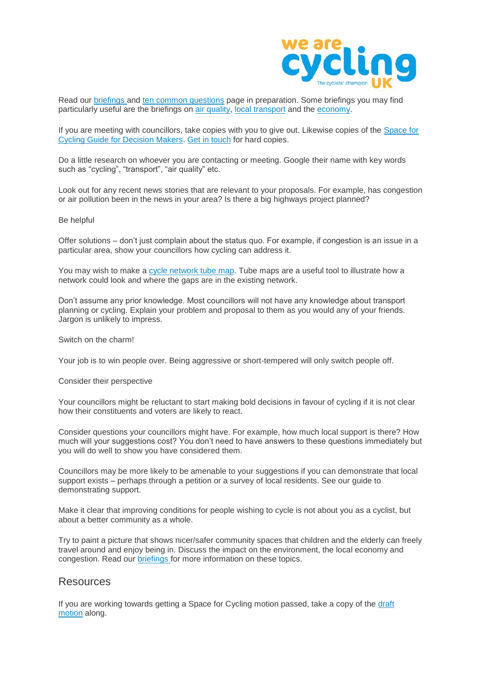

Read our [briefings](https://www.cyclinguk.org/node/7144) and [ten common questions](https://www.cyclinguk.org/node/1392) page in preparation. Some briefings you may find particularly useful are the briefings on [air quality,](https://www.cyclinguk.org/node/59546) [local transport](https://www.cyclinguk.org/node/1776) and the [economy.](https://www.cyclinguk.org/node/9053)

If you are meeting with councillors, take copies with you to give out. Likewise copies of the [Space for](https://www.cyclinguk.org/sites/default/files/space_for_cycling_guide_for_decision_makers.pdf)  [Cycling Guide for Decision Makers.](https://www.cyclinguk.org/sites/default/files/space_for_cycling_guide_for_decision_makers.pdf) [Get in touch](mailto:tom.guha@cyclinguk.org?subject=Space%20for%20Cycling%20Guide%20for%20Local%20Decision%20Makers&body=I%20would%20like%20x%20copies%20of%20the%20guide.%20) for hard copies.

Do a little research on whoever you are contacting or meeting. Google their name with key words such as "cycling", "transport", "air quality" etc.

Look out for any recent news stories that are relevant to your proposals. For example, has congestion or air pollution been in the news in your area? Is there a big highways project planned?

#### Be helpful

Offer solutions – don't just complain about the status quo. For example, if congestion is an issue in a particular area, show your councillors how cycling can address it.

You may wish to make a [cycle network tube map.](https://www.cyclinguk.org/node/81716) Tube maps are a useful tool to illustrate how a network could look and where the gaps are in the existing network.

Don't assume any prior knowledge. Most councillors will not have any knowledge about transport planning or cycling. Explain your problem and proposal to them as you would any of your friends. Jargon is unlikely to impress.

Switch on the charm!

Your job is to win people over. Being aggressive or short-tempered will only switch people off.

Consider their perspective

Your councillors might be reluctant to start making bold decisions in favour of cycling if it is not clear how their constituents and voters are likely to react.

Consider questions your councillors might have. For example, how much local support is there? How much will your suggestions cost? You don't need to have answers to these questions immediately but you will do well to show you have considered them.

Councillors may be more likely to be amenable to your suggestions if you can demonstrate that local support exists – perhaps through a petition or a survey of local residents. See our guide to demonstrating support.

Make it clear that improving conditions for people wishing to cycle is not about you as a cyclist, but about a better community as a whole.

Try to paint a picture that shows nicer/safer community spaces that children and the elderly can freely travel around and enjoy being in. Discuss the impact on the environment, the local economy and congestion. Read our [briefings](https://www.cyclinguk.org/node/7144) for more information on these topics.

### Resources

If you are working towards getting a Space for Cycling motion passed, take a copy of the [draft](https://www.cyclinguk.org/node/92371)  [motion](https://www.cyclinguk.org/node/92371) along.